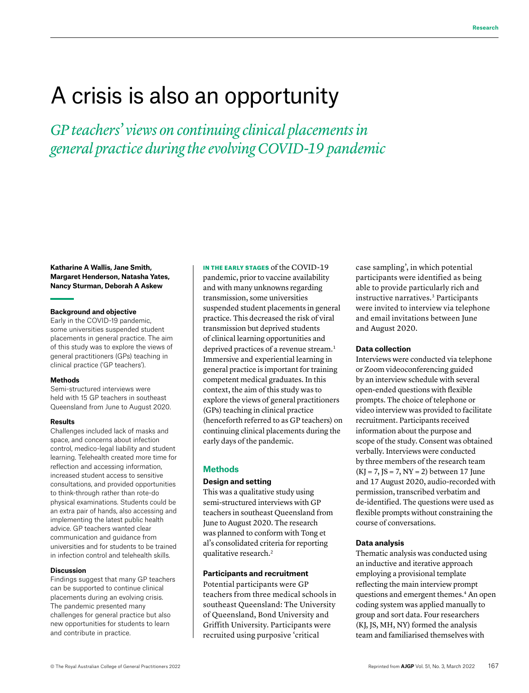# A crisis is also an opportunity

*GP teachers' views on continuing clinical placements in general practice during the evolving COVID-19 pandemic*

#### **Katharine A Wallis, Jane Smith, Margaret Henderson, Natasha Yates, Nancy Sturman, Deborah A Askew**

#### **Background and objective**

Early in the COVID-19 pandemic, some universities suspended student placements in general practice. The aim of this study was to explore the views of general practitioners (GPs) teaching in clinical practice ('GP teachers').

#### **Methods**

Semi-structured interviews were held with 15 GP teachers in southeast Queensland from June to August 2020.

#### **Results**

Challenges included lack of masks and space, and concerns about infection control, medico-legal liability and student learning. Telehealth created more time for reflection and accessing information, increased student access to sensitive consultations, and provided opportunities to think-through rather than rote-do physical examinations. Students could be an extra pair of hands, also accessing and implementing the latest public health advice. GP teachers wanted clear communication and guidance from universities and for students to be trained in infection control and telehealth skills.

#### **Discussion**

Findings suggest that many GP teachers can be supported to continue clinical placements during an evolving crisis. The pandemic presented many challenges for general practice but also new opportunities for students to learn and contribute in practice.

IN THE EARLY STAGES of the COVID-19 pandemic, prior to vaccine availability and with many unknowns regarding transmission, some universities suspended student placements in general practice. This decreased the risk of viral transmission but deprived students of clinical learning opportunities and deprived practices of a revenue stream.<sup>1</sup> Immersive and experiential learning in general practice is important for training competent medical graduates. In this context, the aim of this study was to explore the views of general practitioners (GPs) teaching in clinical practice (henceforth referred to as GP teachers) on continuing clinical placements during the early days of the pandemic.

#### **Methods**

## **Design and setting**

This was a qualitative study using semi-structured interviews with GP teachers in southeast Queensland from June to August 2020. The research was planned to conform with Tong et al's consolidated criteria for reporting qualitative research.2

## **Participants and recruitment**

Potential participants were GP teachers from three medical schools in southeast Queensland: The University of Queensland, Bond University and Griffith University. Participants were recruited using purposive 'critical

case sampling', in which potential participants were identified as being able to provide particularly rich and instructive narratives.3 Participants were invited to interview via telephone and email invitations between June and August 2020.

### **Data collection**

Interviews were conducted via telephone or Zoom videoconferencing guided by an interview schedule with several open-ended questions with flexible prompts. The choice of telephone or video interview was provided to facilitate recruitment. Participants received information about the purpose and scope of the study. Consent was obtained verbally. Interviews were conducted by three members of the research team  $(KJ = 7, JS = 7, NY = 2) between 17 June$ and 17 August 2020, audio-recorded with permission, transcribed verbatim and de-identified. The questions were used as flexible prompts without constraining the course of conversations.

### **Data analysis**

Thematic analysis was conducted using an inductive and iterative approach employing a provisional template reflecting the main interview prompt questions and emergent themes.4 An open coding system was applied manually to group and sort data. Four researchers (KJ, JS, MH, NY) formed the analysis team and familiarised themselves with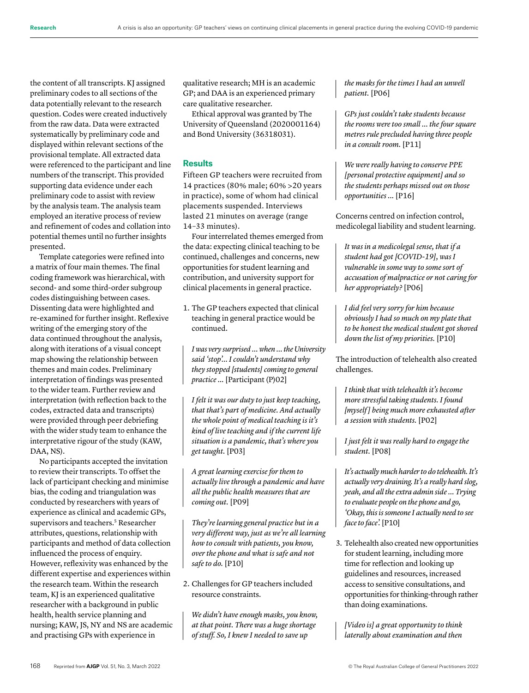the content of all transcripts. KJ assigned preliminary codes to all sections of the data potentially relevant to the research question. Codes were created inductively from the raw data. Data were extracted systematically by preliminary code and displayed within relevant sections of the provisional template. All extracted data were referenced to the participant and line numbers of the transcript. This provided supporting data evidence under each preliminary code to assist with review by the analysis team. The analysis team employed an iterative process of review and refinement of codes and collation into potential themes until no further insights presented.

Template categories were refined into a matrix of four main themes. The final coding framework was hierarchical, with second- and some third-order subgroup codes distinguishing between cases. Dissenting data were highlighted and re-examined for further insight. Reflexive writing of the emerging story of the data continued throughout the analysis, along with iterations of a visual concept map showing the relationship between themes and main codes. Preliminary interpretation of findings was presented to the wider team. Further review and interpretation (with reflection back to the codes, extracted data and transcripts) were provided through peer debriefing with the wider study team to enhance the interpretative rigour of the study (KAW, DAA, NS).

No participants accepted the invitation to review their transcripts. To offset the lack of participant checking and minimise bias, the coding and triangulation was conducted by researchers with years of experience as clinical and academic GPs, supervisors and teachers.<sup>5</sup> Researcher attributes, questions, relationship with participants and method of data collection influenced the process of enquiry. However, reflexivity was enhanced by the different expertise and experiences within the research team. Within the research team, KJ is an experienced qualitative researcher with a background in public health, health service planning and nursing; KAW, JS, NY and NS are academic and practising GPs with experience in

qualitative research; MH is an academic GP; and DAA is an experienced primary care qualitative researcher.

Ethical approval was granted by The University of Queensland (2020001164) and Bond University (36318031).

## **Results**

Fifteen GP teachers were recruited from 14 practices (80% male; 60% >20 years in practice), some of whom had clinical placements suspended. Interviews lasted 21 minutes on average (range 14–33 minutes).

Four interrelated themes emerged from the data: expecting clinical teaching to be continued, challenges and concerns, new opportunities for student learning and contribution, and university support for clinical placements in general practice.

1. The GP teachers expected that clinical teaching in general practice would be continued.

*I was very surprised … when … the University said 'stop'… I couldn't understand why they stopped [students] coming to general practice ...* [Participant (P)02]

*I felt it was our duty to just keep teaching, that that's part of medicine. And actually the whole point of medical teaching is it's kind of live teaching and if the current life situation is a pandemic, that's where you get taught.* [P03]

*A great learning exercise for them to actually live through a pandemic and have all the public health measures that are coming out.* [P09]

*They're learning general practice but in a very different way, just as we're all learning how to consult with patients, you know, over the phone and what is safe and not safe to do.* [P10]

2. Challenges for GP teachers included resource constraints.

*We didn't have enough masks, you know, at that point. There was a huge shortage of stuff. So, I knew I needed to save up* 

*the masks for the times I had an unwell patient.* [P06]

*GPs just couldn't take students because the rooms were too small … the four square metres rule precluded having three people in a consult room.* [P11]

*We were really having to conserve PPE [personal protective equipment] and so the students perhaps missed out on those opportunities ...* [P16]

Concerns centred on infection control, medicolegal liability and student learning.

*It was in a medicolegal sense, that if a student had got [COVID-19], was I vulnerable in some way to some sort of accusation of malpractice or not caring for her appropriately?* [P06]

*I did feel very sorry for him because obviously I had so much on my plate that to be honest the medical student got shoved down the list of my priorities.* [P10]

The introduction of telehealth also created challenges.

*I think that with telehealth it's become more stressful taking students. I found [myself ] being much more exhausted after a session with students.* [P02]

*I just felt it was really hard to engage the student.* [P08]

*It's actually much harder to do telehealth. It's actually very draining. It's a really hard slog, yeah, and all the extra admin side … Trying to evaluate people on the phone and go, 'Okay, this is someone I actually need to see face to face'.* [P10]

3. Telehealth also created new opportunities for student learning, including more time for reflection and looking up guidelines and resources, increased access to sensitive consultations, and opportunities for thinking-through rather than doing examinations.

*[Video is] a great opportunity to think laterally about examination and then*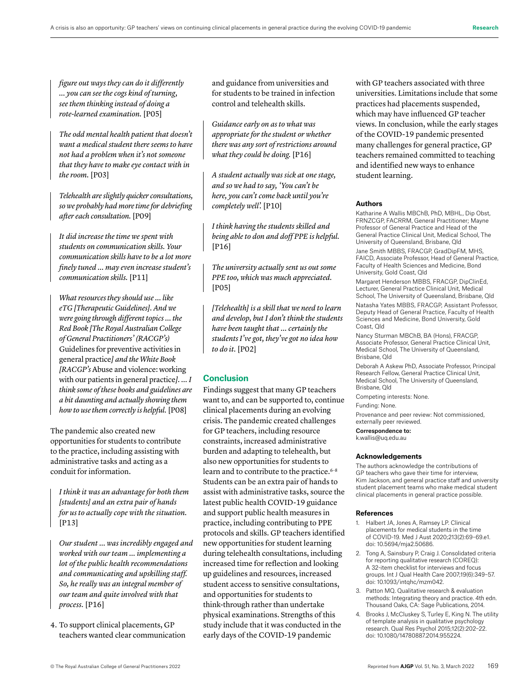*figure out ways they can do it differently … you can see the cogs kind of turning, see them thinking instead of doing a rote-learned examination.* [P05]

*The odd mental health patient that doesn't want a medical student there seems to have not had a problem when it's not someone that they have to make eye contact with in the room.* [P03]

*Telehealth are slightly quicker consultations, so we probably had more time for debriefing after each consultation.* [P09]

*It did increase the time we spent with students on communication skills. Your communication skills have to be a lot more finely tuned … may even increase student's communication skills.* [P11]

*What resources they should use … like eTG [Therapeutic Guidelines]. And we were going through different topics … the Red Book [The Royal Australian College of General Practitioners' (RACGP's)*  Guidelines for preventive activities in general practice*] and the White Book [RACGP's* Abuse and violence: working with our patients in general practice*]. … I think some of these books and guidelines are a bit daunting and actually showing them how to use them correctly is helpful.* [P08]

The pandemic also created new opportunities for students to contribute to the practice, including assisting with administrative tasks and acting as a conduit for information.

*I think it was an advantage for both them [students] and an extra pair of hands for us to actually cope with the situation.*  [P13]

*Our student … was incredibly engaged and worked with our team … implementing a lot of the public health recommendations and communicating and upskilling staff. So, he really was an integral member of our team and quite involved with that process.* [P16]

4. To support clinical placements, GP teachers wanted clear communication and guidance from universities and for students to be trained in infection control and telehealth skills.

*Guidance early on as to what was appropriate for the student or whether there was any sort of restrictions around what they could be doing.* [P16]

*A student actually was sick at one stage, and so we had to say, 'You can't be here, you can't come back until you're completely well'.* [P10]

*I think having the students skilled and being able to don and doff PPE is helpful.*  [P16]

*The university actually sent us out some PPE too, which was much appreciated.*  [P05]

*[Telehealth] is a skill that we need to learn and develop, but I don't think the students have been taught that … certainly the students I've got, they've got no idea how to do it.* [P02]

## **Conclusion**

Findings suggest that many GP teachers want to, and can be supported to, continue clinical placements during an evolving crisis. The pandemic created challenges for GP teachers, including resource constraints, increased administrative burden and adapting to telehealth, but also new opportunities for students to learn and to contribute to the practice.<sup>6-8</sup> Students can be an extra pair of hands to assist with administrative tasks, source the latest public health COVID-19 guidance and support public health measures in practice, including contributing to PPE protocols and skills. GP teachers identified new opportunities for student learning during telehealth consultations, including increased time for reflection and looking up guidelines and resources, increased student access to sensitive consultations, and opportunities for students to think-through rather than undertake physical examinations. Strengths of this study include that it was conducted in the early days of the COVID-19 pandemic

with GP teachers associated with three universities. Limitations include that some practices had placements suspended, which may have influenced GP teacher views. In conclusion, while the early stages of the COVID-19 pandemic presented many challenges for general practice, GP teachers remained committed to teaching and identified new ways to enhance student learning.

### **Authors**

Katharine A Wallis MBChB, PhD, MBHL, Dip Obst, FRNZCGP, FACRRM, General Practitioner; Mayne Professor of General Practice and Head of the General Practice Clinical Unit, Medical School, The University of Queensland, Brisbane, Qld Jane Smith MBBS, FRACGP, GradDipFM, MHS, FAICD, Associate Professor, Head of General Practice, Faculty of Health Sciences and Medicine, Bond University, Gold Coast, Qld

Margaret Henderson MBBS, FRACGP, DipClinEd, Lecturer, General Practice Clinical Unit, Medical School, The University of Queensland, Brisbane, Qld

Natasha Yates MBBS, FRACGP, Assistant Professor, Deputy Head of General Practice, Faculty of Health Sciences and Medicine, Bond University, Gold Coast, Qld

Nancy Sturman MBChB, BA (Hons), FRACGP, Associate Professor, General Practice Clinical Unit, Medical School, The University of Queensland, Brisbane, Qld

Deborah A Askew PhD, Associate Professor, Principal Research Fellow, General Practice Clinical Unit, Medical School, The University of Queensland, Brisbane, Qld

Competing interests: None.

Funding: None.

Provenance and peer review: Not commissioned, externally peer reviewed.

Correspondence to:

k.wallis@uq.edu.au

#### **Acknowledgements**

The authors acknowledge the contributions of GP teachers who gave their time for interview, Kim Jackson, and general practice staff and university student placement teams who make medical student clinical placements in general practice possible.

## **References**

- 1. Halbert JA, Jones A, Ramsey LP. Clinical placements for medical students in the time of COVID-19. Med J Aust 2020;213(2):69–69.e1. doi: 10.5694/mja2.50686.
- 2. Tong A, Sainsbury P, Craig J. Consolidated criteria for reporting qualitative research (COREQ): A 32-item checklist for interviews and focus groups. Int J Qual Health Care 2007;19(6):349–57. doi: 10.1093/intqhc/mzm042.
- 3. Patton MQ. Qualitative research & evaluation methods: Integrating theory and practice. 4th edn. Thousand Oaks, CA: Sage Publications, 2014.
- 4. Brooks J, McCluskey S, Turley E, King N. The utility of template analysis in qualitative psychology research. Qual Res Psychol 2015;12(2):202–22. doi: 10.1080/14780887.2014.955224.